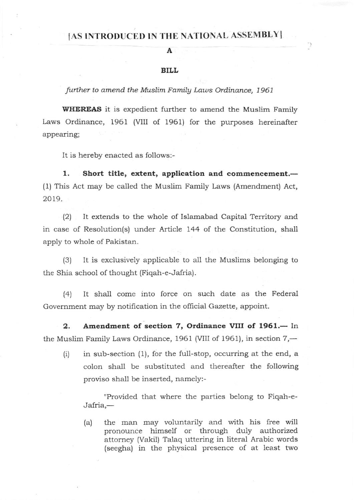## [AS INTRODUCED IN THE NATIONAL ASSEMBLY]

## BILL

A

further to amend the Muslim Family Laws Ordinance, 1961

WHEREAS it is expedient further to amend the Muslim Family Laws Ordinance, 1961 (VIII of 1961) for the purposes hereinafter appearing;

It is hereby enacted as follows:-

1. Short title, extent, application and commencement.-(1) This Act may be called the Muslim Famiiy Laws (Amendment) Act, 2019.

(2) It extends to the whole of Islamabad Capital Territory and in case of Resolution(s) under Article 144 of the Constitution, shall apply to whole of Pakistan.

(3) It is exclusively applicable to all the Muslims belonging to the Shia school of thought (Fiqah-e-Jafria).

(4) It shall come into force on such date as the Federal Government may by notification in the official Gazette, appoint.

2. Amendment of section 7, Ordinance VIII of 1961.- In the Muslim Family Laws Ordinance, 1961 (VIII of 1961), in section  $7,$ —

(i) in sub-section (1), for the full-stop, occurring at the end, <sup>a</sup> colon shall be substituted and thereafter the following proviso shall be inserted, namely:-

"Provided that where the parties belong to Fiqah-e-Jafria,-

(a) the man may voluntarily and with his free will pronounce himself or through duly authorized attorney (Vakil) Talaq uttering in literal Arabic words (seegha) in the physical presence of at least two